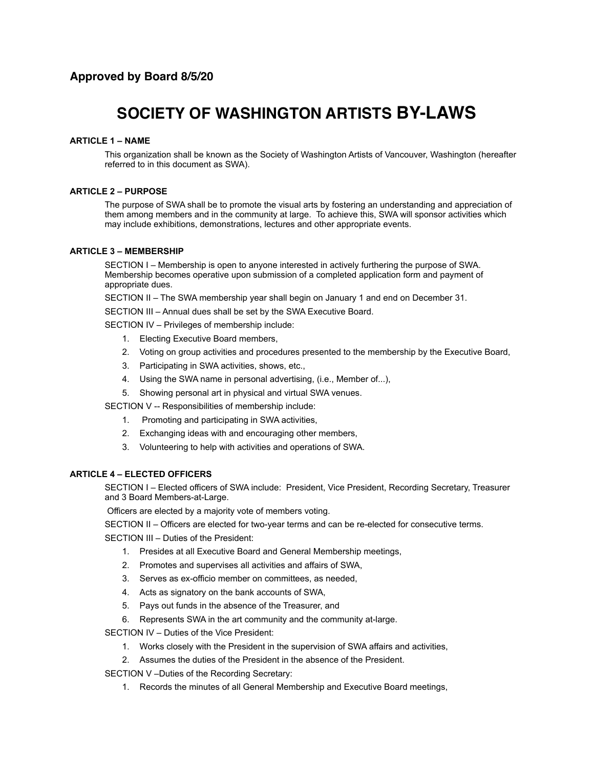# **SOCIETY OF WASHINGTON ARTISTS BY-LAWS**

## **ARTICLE 1 – NAME**

This organization shall be known as the Society of Washington Artists of Vancouver, Washington (hereafter referred to in this document as SWA).

## **ARTICLE 2 – PURPOSE**

The purpose of SWA shall be to promote the visual arts by fostering an understanding and appreciation of them among members and in the community at large. To achieve this, SWA will sponsor activities which may include exhibitions, demonstrations, lectures and other appropriate events.

## **ARTICLE 3 – MEMBERSHIP**

SECTION I – Membership is open to anyone interested in actively furthering the purpose of SWA. Membership becomes operative upon submission of a completed application form and payment of appropriate dues.

SECTION II – The SWA membership year shall begin on January 1 and end on December 31.

SECTION III – Annual dues shall be set by the SWA Executive Board.

SECTION IV – Privileges of membership include:

- 1. Electing Executive Board members,
- 2. Voting on group activities and procedures presented to the membership by the Executive Board,
- 3. Participating in SWA activities, shows, etc.,
- 4. Using the SWA name in personal advertising, (i.e., Member of...),
- 5. Showing personal art in physical and virtual SWA venues.

SECTION V -- Responsibilities of membership include:

- 1. Promoting and participating in SWA activities,
- 2. Exchanging ideas with and encouraging other members,
- 3. Volunteering to help with activities and operations of SWA.

## **ARTICLE 4 – ELECTED OFFICERS**

SECTION I – Elected officers of SWA include: President, Vice President, Recording Secretary, Treasurer and 3 Board Members-at-Large.

Officers are elected by a majority vote of members voting.

SECTION II – Officers are elected for two-year terms and can be re-elected for consecutive terms.

SECTION III – Duties of the President:

- 1. Presides at all Executive Board and General Membership meetings,
- 2. Promotes and supervises all activities and affairs of SWA,
- 3. Serves as ex-officio member on committees, as needed,
- 4. Acts as signatory on the bank accounts of SWA,
- 5. Pays out funds in the absence of the Treasurer, and
- 6. Represents SWA in the art community and the community at-large.

SECTION IV – Duties of the Vice President:

- 1. Works closely with the President in the supervision of SWA affairs and activities,
- 2. Assumes the duties of the President in the absence of the President.

SECTION V –Duties of the Recording Secretary:

1. Records the minutes of all General Membership and Executive Board meetings,